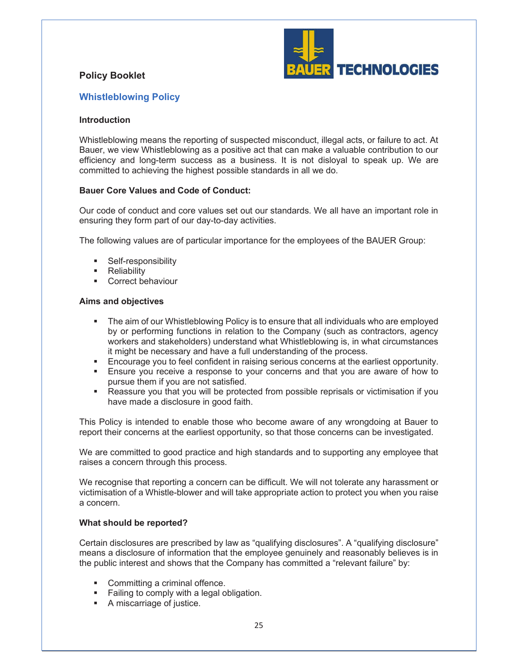# **Policy Booklet**



# **Whistleblowing Policy**

## **Introduction**

Whistleblowing means the reporting of suspected misconduct, illegal acts, or failure to act. At Bauer, we view Whistleblowing as a positive act that can make a valuable contribution to our efficiency and long-term success as a business. It is not disloyal to speak up. We are committed to achieving the highest possible standards in all we do.

## **Bauer Core Values and Code of Conduct:**

Our code of conduct and core values set out our standards. We all have an important role in ensuring they form part of our day-to-day activities.

The following values are of particular importance for the employees of the BAUER Group:

- **BELE-responsibility**
- **Reliability**
- **EXECO** Correct behaviour

#### **Aims and objectives**

- The aim of our Whistleblowing Policy is to ensure that all individuals who are employed by or performing functions in relation to the Company (such as contractors, agency workers and stakeholders) understand what Whistleblowing is, in what circumstances it might be necessary and have a full understanding of the process.
- **Encourage you to feel confident in raising serious concerns at the earliest opportunity.**
- **Ensure you receive a response to your concerns and that you are aware of how to** pursue them if you are not satisfied.
- Reassure you that you will be protected from possible reprisals or victimisation if you have made a disclosure in good faith.

This Policy is intended to enable those who become aware of any wrongdoing at Bauer to report their concerns at the earliest opportunity, so that those concerns can be investigated.

We are committed to good practice and high standards and to supporting any employee that raises a concern through this process.

We recognise that reporting a concern can be difficult. We will not tolerate any harassment or victimisation of a Whistle-blower and will take appropriate action to protect you when you raise a concern.

#### **What should be reported?**

Certain disclosures are prescribed by law as "qualifying disclosures". A "qualifying disclosure" means a disclosure of information that the employee genuinely and reasonably believes is in the public interest and shows that the Company has committed a "relevant failure" by:

- Committing a criminal offence.
- **Failing to comply with a legal obligation.**
- A miscarriage of justice.